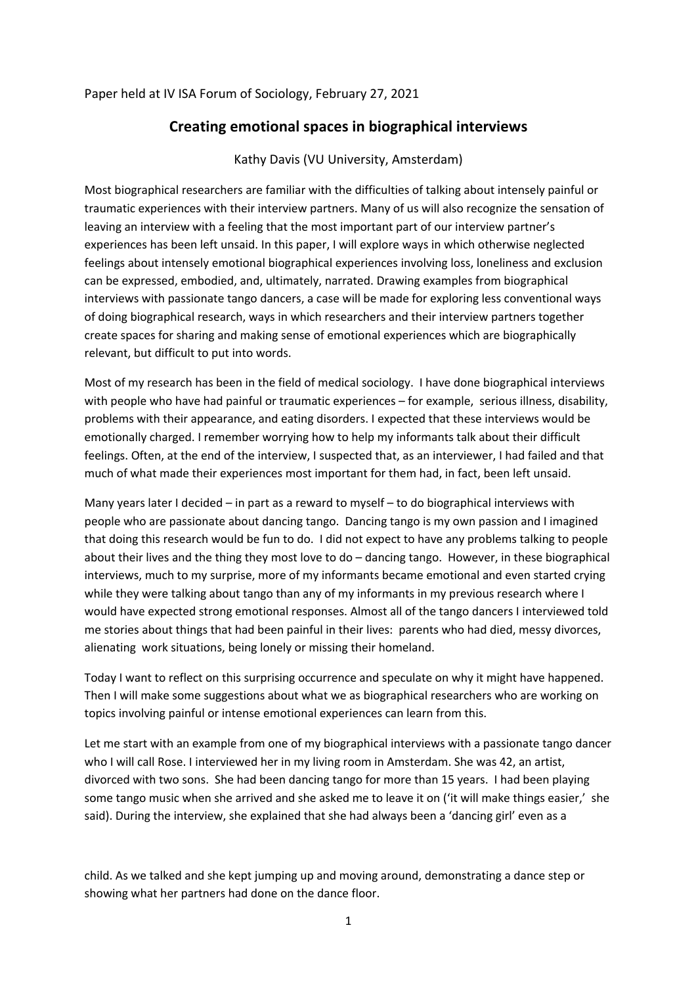## Paper held at IV ISA Forum of Sociology, February 27, 2021

## **Creating emotional spaces in biographical interviews**

## Kathy Davis (VU University, Amsterdam)

Most biographical researchers are familiar with the difficulties of talking about intensely painful or traumatic experiences with their interview partners. Many of us will also recognize the sensation of leaving an interview with a feeling that the most important part of our interview partner's experiences has been left unsaid. In this paper, I will explore ways in which otherwise neglected feelings about intensely emotional biographical experiences involving loss, loneliness and exclusion can be expressed, embodied, and, ultimately, narrated. Drawing examples from biographical interviews with passionate tango dancers, a case will be made for exploring less conventional ways of doing biographical research, ways in which researchers and their interview partners together create spaces for sharing and making sense of emotional experiences which are biographically relevant, but difficult to put into words.

Most of my research has been in the field of medical sociology. I have done biographical interviews with people who have had painful or traumatic experiences – for example, serious illness, disability, problems with their appearance, and eating disorders. I expected that these interviews would be emotionally charged. I remember worrying how to help my informants talk about their difficult feelings. Often, at the end of the interview, I suspected that, as an interviewer, I had failed and that much of what made their experiences most important for them had, in fact, been left unsaid.

Many years later I decided – in part as a reward to myself – to do biographical interviews with people who are passionate about dancing tango. Dancing tango is my own passion and I imagined that doing this research would be fun to do. I did not expect to have any problems talking to people about their lives and the thing they most love to do – dancing tango. However, in these biographical interviews, much to my surprise, more of my informants became emotional and even started crying while they were talking about tango than any of my informants in my previous research where I would have expected strong emotional responses. Almost all of the tango dancers I interviewed told me stories about things that had been painful in their lives: parents who had died, messy divorces, alienating work situations, being lonely or missing their homeland.

Today I want to reflect on this surprising occurrence and speculate on why it might have happened. Then I will make some suggestions about what we as biographical researchers who are working on topics involving painful or intense emotional experiences can learn from this.

Let me start with an example from one of my biographical interviews with a passionate tango dancer who I will call Rose. I interviewed her in my living room in Amsterdam. She was 42, an artist, divorced with two sons. She had been dancing tango for more than 15 years. I had been playing some tango music when she arrived and she asked me to leave it on ('it will make things easier,' she said). During the interview, she explained that she had always been a 'dancing girl' even as a

child. As we talked and she kept jumping up and moving around, demonstrating a dance step or showing what her partners had done on the dance floor.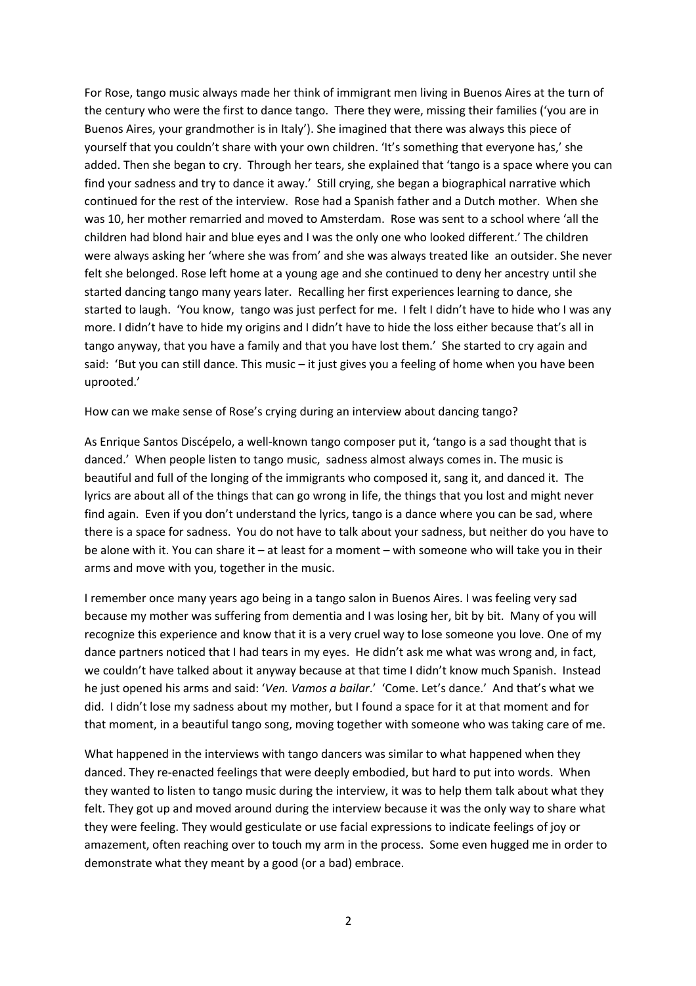For Rose, tango music always made her think of immigrant men living in Buenos Aires at the turn of the century who were the first to dance tango. There they were, missing their families ('you are in Buenos Aires, your grandmother is in Italy'). She imagined that there was always this piece of yourself that you couldn't share with your own children. 'It's something that everyone has,' she added. Then she began to cry. Through her tears, she explained that 'tango is a space where you can find your sadness and try to dance it away.' Still crying, she began a biographical narrative which continued for the rest of the interview. Rose had a Spanish father and a Dutch mother. When she was 10, her mother remarried and moved to Amsterdam. Rose was sent to a school where 'all the children had blond hair and blue eyes and I was the only one who looked different.' The children were always asking her 'where she was from' and she was always treated like an outsider. She never felt she belonged. Rose left home at a young age and she continued to deny her ancestry until she started dancing tango many years later. Recalling her first experiences learning to dance, she started to laugh. 'You know, tango was just perfect for me. I felt I didn't have to hide who I was any more. I didn't have to hide my origins and I didn't have to hide the loss either because that's all in tango anyway, that you have a family and that you have lost them.' She started to cry again and said: 'But you can still dance. This music – it just gives you a feeling of home when you have been uprooted.'

How can we make sense of Rose's crying during an interview about dancing tango?

As Enrique Santos Discépelo, a well-known tango composer put it, 'tango is a sad thought that is danced.' When people listen to tango music, sadness almost always comes in. The music is beautiful and full of the longing of the immigrants who composed it, sang it, and danced it. The lyrics are about all of the things that can go wrong in life, the things that you lost and might never find again. Even if you don't understand the lyrics, tango is a dance where you can be sad, where there is a space for sadness. You do not have to talk about your sadness, but neither do you have to be alone with it. You can share it – at least for a moment – with someone who will take you in their arms and move with you, together in the music.

I remember once many years ago being in a tango salon in Buenos Aires. I was feeling very sad because my mother was suffering from dementia and I was losing her, bit by bit. Many of you will recognize this experience and know that it is a very cruel way to lose someone you love. One of my dance partners noticed that I had tears in my eyes. He didn't ask me what was wrong and, in fact, we couldn't have talked about it anyway because at that time I didn't know much Spanish. Instead he just opened his arms and said: '*Ven. Vamos a bailar*.' 'Come. Let's dance.' And that's what we did. I didn't lose my sadness about my mother, but I found a space for it at that moment and for that moment, in a beautiful tango song, moving together with someone who was taking care of me.

What happened in the interviews with tango dancers was similar to what happened when they danced. They re-enacted feelings that were deeply embodied, but hard to put into words. When they wanted to listen to tango music during the interview, it was to help them talk about what they felt. They got up and moved around during the interview because it was the only way to share what they were feeling. They would gesticulate or use facial expressions to indicate feelings of joy or amazement, often reaching over to touch my arm in the process. Some even hugged me in order to demonstrate what they meant by a good (or a bad) embrace.